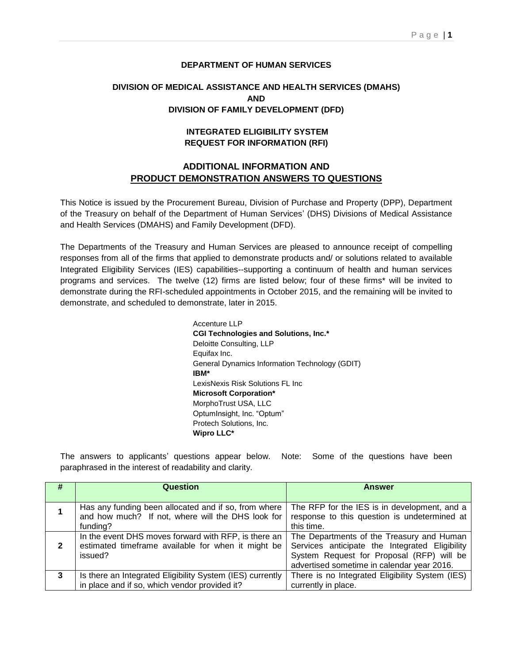## **DEPARTMENT OF HUMAN SERVICES**

## **DIVISION OF MEDICAL ASSISTANCE AND HEALTH SERVICES (DMAHS) AND DIVISION OF FAMILY DEVELOPMENT (DFD)**

## **INTEGRATED ELIGIBILITY SYSTEM REQUEST FOR INFORMATION (RFI)**

## **ADDITIONAL INFORMATION AND PRODUCT DEMONSTRATION ANSWERS TO QUESTIONS**

This Notice is issued by the Procurement Bureau, Division of Purchase and Property (DPP), Department of the Treasury on behalf of the Department of Human Services' (DHS) Divisions of Medical Assistance and Health Services (DMAHS) and Family Development (DFD).

The Departments of the Treasury and Human Services are pleased to announce receipt of compelling responses from all of the firms that applied to demonstrate products and/ or solutions related to available Integrated Eligibility Services (IES) capabilities--supporting a continuum of health and human services programs and services. The twelve (12) firms are listed below; four of these firms\* will be invited to demonstrate during the RFI-scheduled appointments in October 2015, and the remaining will be invited to demonstrate, and scheduled to demonstrate, later in 2015.

> Accenture LLP **CGI Technologies and Solutions, Inc.\*** Deloitte Consulting, LLP Equifax Inc. General Dynamics Information Technology (GDIT) **IBM\*** LexisNexis Risk Solutions FL Inc **Microsoft Corporation\*** MorphoTrust USA, LLC OptumInsight, Inc. "Optum" Protech Solutions, Inc. **Wipro LLC\***

The answers to applicants' questions appear below. Note: Some of the questions have been paraphrased in the interest of readability and clarity.

| #            | Question                                                  | <b>Answer</b>                                   |
|--------------|-----------------------------------------------------------|-------------------------------------------------|
|              |                                                           |                                                 |
|              | Has any funding been allocated and if so, from where      | The RFP for the IES is in development, and a    |
|              | and how much? If not, where will the DHS look for         | response to this question is undetermined at    |
|              | funding?                                                  | this time.                                      |
|              | In the event DHS moves forward with RFP, is there an      | The Departments of the Treasury and Human       |
| $\mathbf{2}$ | estimated timeframe available for when it might be        | Services anticipate the Integrated Eligibility  |
|              | issued?                                                   | System Request for Proposal (RFP) will be       |
|              |                                                           | advertised sometime in calendar year 2016.      |
| 3            | Is there an Integrated Eligibility System (IES) currently | There is no Integrated Eligibility System (IES) |
|              | in place and if so, which vendor provided it?             | currently in place.                             |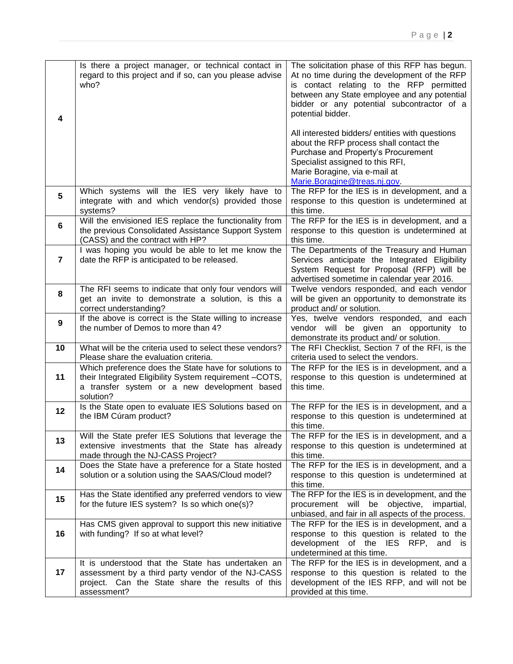| 4              | Is there a project manager, or technical contact in<br>regard to this project and if so, can you please advise<br>who?                                                       | The solicitation phase of this RFP has begun.<br>At no time during the development of the RFP<br>is contact relating to the RFP permitted<br>between any State employee and any potential<br>bidder or any potential subcontractor of a<br>potential bidder.<br>All interested bidders/ entities with questions<br>about the RFP process shall contact the<br>Purchase and Property's Procurement<br>Specialist assigned to this RFI,<br>Marie Boragine, via e-mail at<br>Marie.Boragine@treas.nj.gov. |
|----------------|------------------------------------------------------------------------------------------------------------------------------------------------------------------------------|--------------------------------------------------------------------------------------------------------------------------------------------------------------------------------------------------------------------------------------------------------------------------------------------------------------------------------------------------------------------------------------------------------------------------------------------------------------------------------------------------------|
| 5              | Which systems will the IES very likely have to<br>integrate with and which vendor(s) provided those<br>systems?                                                              | The RFP for the IES is in development, and a<br>response to this question is undetermined at<br>this time.                                                                                                                                                                                                                                                                                                                                                                                             |
| $6\phantom{1}$ | Will the envisioned IES replace the functionality from<br>the previous Consolidated Assistance Support System<br>(CASS) and the contract with HP?                            | The RFP for the IES is in development, and a<br>response to this question is undetermined at<br>this time.                                                                                                                                                                                                                                                                                                                                                                                             |
| 7              | I was hoping you would be able to let me know the<br>date the RFP is anticipated to be released.                                                                             | The Departments of the Treasury and Human<br>Services anticipate the Integrated Eligibility<br>System Request for Proposal (RFP) will be<br>advertised sometime in calendar year 2016.                                                                                                                                                                                                                                                                                                                 |
| 8              | The RFI seems to indicate that only four vendors will<br>get an invite to demonstrate a solution, is this a<br>correct understanding?                                        | Twelve vendors responded, and each vendor<br>will be given an opportunity to demonstrate its<br>product and/ or solution.                                                                                                                                                                                                                                                                                                                                                                              |
| 9              | If the above is correct is the State willing to increase<br>the number of Demos to more than 4?                                                                              | Yes, twelve vendors responded, and each<br>vendor will be given an opportunity to<br>demonstrate its product and/ or solution.                                                                                                                                                                                                                                                                                                                                                                         |
| 10             | What will be the criteria used to select these vendors?<br>Please share the evaluation criteria.                                                                             | The RFI Checklist, Section 7 of the RFI, is the<br>criteria used to select the vendors.                                                                                                                                                                                                                                                                                                                                                                                                                |
| 11             | Which preference does the State have for solutions to<br>their Integrated Eligibility System requirement -COTS,<br>a transfer system or a new development based<br>solution? | The RFP for the IES is in development, and a<br>response to this question is undetermined at<br>this time.                                                                                                                                                                                                                                                                                                                                                                                             |
| 12             | Is the State open to evaluate IES Solutions based on<br>the IBM Cúram product?                                                                                               | The RFP for the IES is in development, and a<br>response to this question is undetermined at<br>this time.                                                                                                                                                                                                                                                                                                                                                                                             |
| 13             | Will the State prefer IES Solutions that leverage the<br>extensive investments that the State has already<br>made through the NJ-CASS Project?                               | The RFP for the IES is in development, and a<br>response to this question is undetermined at<br>this time.                                                                                                                                                                                                                                                                                                                                                                                             |
| 14             | Does the State have a preference for a State hosted<br>solution or a solution using the SAAS/Cloud model?                                                                    | The RFP for the IES is in development, and a<br>response to this question is undetermined at<br>this time.                                                                                                                                                                                                                                                                                                                                                                                             |
| 15             | Has the State identified any preferred vendors to view<br>for the future IES system? Is so which one(s)?                                                                     | The RFP for the IES is in development, and the<br>procurement will be objective,<br>impartial,<br>unbiased, and fair in all aspects of the process.                                                                                                                                                                                                                                                                                                                                                    |
| 16             | Has CMS given approval to support this new initiative<br>with funding? If so at what level?                                                                                  | The RFP for the IES is in development, and a<br>response to this question is related to the<br>development of the IES RFP, and is<br>undetermined at this time.                                                                                                                                                                                                                                                                                                                                        |
| 17             | It is understood that the State has undertaken an<br>assessment by a third party vendor of the NJ-CASS<br>project. Can the State share the results of this<br>assessment?    | The RFP for the IES is in development, and a<br>response to this question is related to the<br>development of the IES RFP, and will not be<br>provided at this time.                                                                                                                                                                                                                                                                                                                                   |